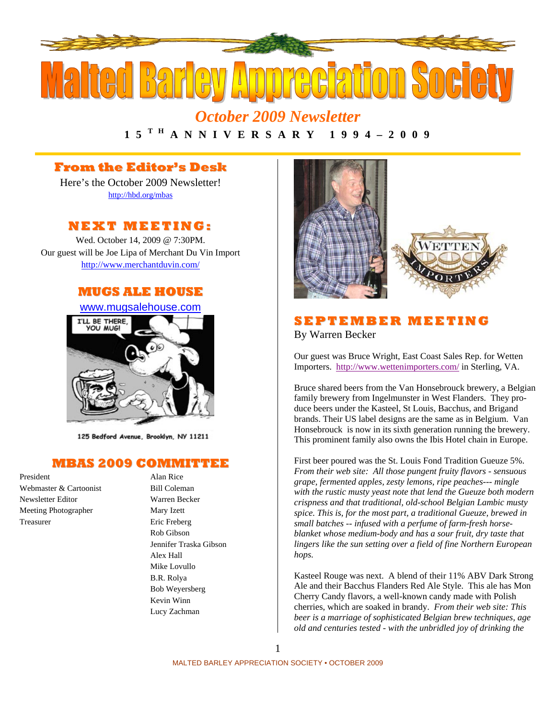

*October 2009 Newsletter*  **1 5 T H A N N I V E R S A R Y 1 9 9 4 – 2 0 0 9** 

## **From the Editor's Desk**

Here's the October 2009 Newsletter! http://hbd.org/mbas

# **NEXT MEETI NG:**

Wed. October 14, 2009 @ 7:30PM. Our guest will be Joe Lipa of Merchant Du Vin Import http://www.merchantduvin.com/

# **MUGS ALE HOUSE**



125 Bedford Avenue, Brooklyn, NY 11211

## **MBAS 2009 COMMITTEE**

President Alan Rice Webmaster & Cartoonist Bill Coleman Newsletter Editor Warren Becker Meeting Photographer Mary Izett Treasurer Eric Freberg

Rob Gibson Jennifer Traska Gibson Alex Hall Mike Lovullo B.R. Rolya Bob Weyersberg Kevin Winn Lucy Zachman



## **S E P TEMBE R MEETI N G** By Warren Becker

Our guest was Bruce Wright, East Coast Sales Rep. for Wetten Importers. http://www.wettenimporters.com/ in Sterling, VA.

Bruce shared beers from the Van Honsebrouck brewery, a Belgian family brewery from Ingelmunster in West Flanders. They produce beers under the Kasteel, St Louis, Bacchus, and Brigand brands. Their US label designs are the same as in Belgium. Van Honsebrouck is now in its sixth generation running the brewery. This prominent family also owns the Ibis Hotel chain in Europe.

First beer poured was the St. Louis Fond Tradition Gueuze 5%. *From their web site: All those pungent fruity flavors - sensuous grape, fermented apples, zesty lemons, ripe peaches--- mingle with the rustic musty yeast note that lend the Gueuze both modern crispness and that traditional, old-school Belgian Lambic musty spice. This is, for the most part, a traditional Gueuze, brewed in small batches -- infused with a perfume of farm-fresh horseblanket whose medium-body and has a sour fruit, dry taste that lingers like the sun setting over a field of fine Northern European hops.* 

Kasteel Rouge was next. A blend of their 11% ABV Dark Strong Ale and their Bacchus Flanders Red Ale Style. This ale has Mon Cherry Candy flavors, a well-known candy made with Polish cherries, which are soaked in brandy. *From their web site: This beer is a marriage of sophisticated Belgian brew techniques, age old and centuries tested - with the unbridled joy of drinking the*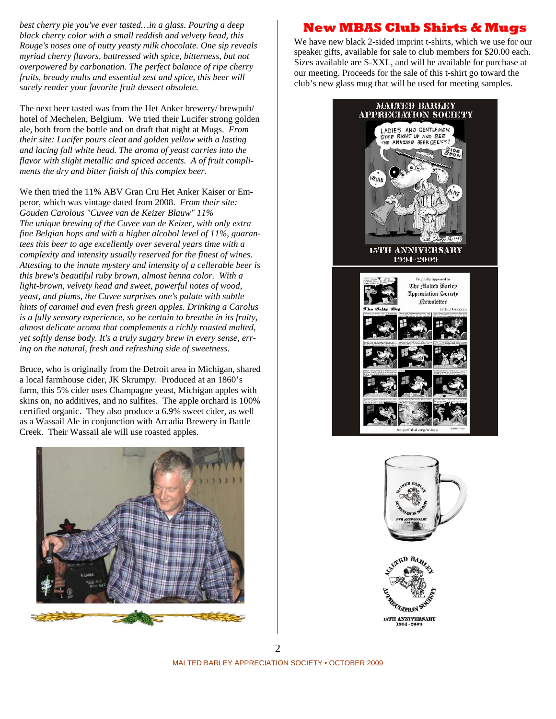*best cherry pie you've ever tasted…in a glass. Pouring a deep black cherry color with a small reddish and velvety head, this Rouge's noses one of nutty yeasty milk chocolate. One sip reveals myriad cherry flavors, buttressed with spice, bitterness, but not overpowered by carbonation. The perfect balance of ripe cherry fruits, bready malts and essential zest and spice, this beer will surely render your favorite fruit dessert obsolete.*

The next beer tasted was from the Het Anker brewery/ brewpub/ hotel of Mechelen, Belgium. We tried their Lucifer strong golden ale, both from the bottle and on draft that night at Mugs. *From their site: Lucifer pours cleat and golden yellow with a lasting and lacing full white head. The aroma of yeast carries into the flavor with slight metallic and spiced accents. A of fruit compliments the dry and bitter finish of this complex beer.*

We then tried the 11% ABV Gran Cru Het Anker Kaiser or Emperor, which was vintage dated from 2008. *From their site: Gouden Carolous "Cuvee van de Keizer Blauw" 11% The unique brewing of the Cuvee van de Keizer, with only extra fine Belgian hops and with a higher alcohol level of 11%, guarantees this beer to age excellently over several years time with a complexity and intensity usually reserved for the finest of wines. Attesting to the innate mystery and intensity of a cellerable beer is this brew's beautiful ruby brown, almost henna color. With a light-brown, velvety head and sweet, powerful notes of wood, yeast, and plums, the Cuvee surprises one's palate with subtle hints of caramel and even fresh green apples. Drinking a Carolus is a fully sensory experience, so be certain to breathe in its fruity, almost delicate aroma that complements a richly roasted malted, yet softly dense body. It's a truly sugary brew in every sense, erring on the natural, fresh and refreshing side of sweetness.* 

Bruce, who is originally from the Detroit area in Michigan, shared a local farmhouse cider, JK Skrumpy. Produced at an 1860's farm, this 5% cider uses Champagne yeast, Michigan apples with skins on, no additives, and no sulfites. The apple orchard is 100% certified organic. They also produce a 6.9% sweet cider, as well as a Wassail Ale in conjunction with Arcadia Brewery in Battle Creek. Their Wassail ale will use roasted apples.



# **New MBAS Club Shirts & Mugs**

We have new black 2-sided imprint t-shirts, which we use for our speaker gifts, available for sale to club members for \$20.00 each. Sizes available are S-XXL, and will be available for purchase at our meeting. Proceeds for the sale of this t-shirt go toward the club's new glass mug that will be used for meeting samples.







MALTED BARLEY APPRECIATION SOCIETY • OCTOBER 2009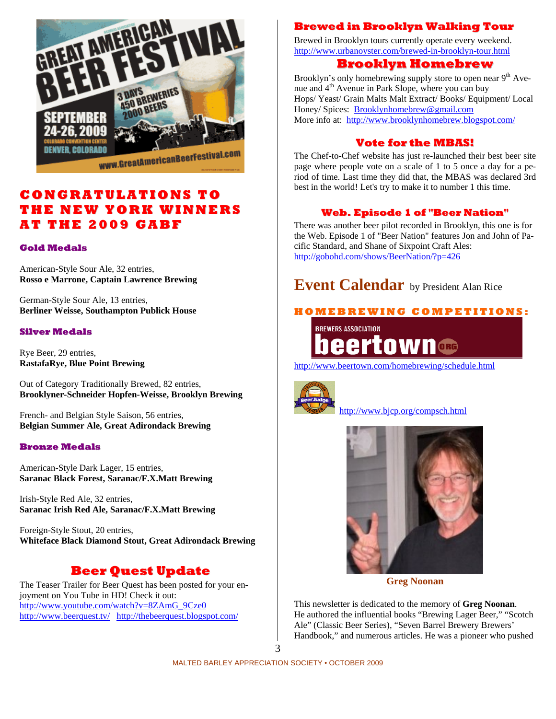

# **CO NG RATU LATI O NS T O THE N EW Y OR K WI N N E RS AT T H E 2009 G A B F**

#### **Gold Medals**

American-Style Sour Ale, 32 entries, **Rosso e Marrone, Captain Lawrence Brewing** 

German-Style Sour Ale, 13 entries, **Berliner Weisse, Southampton Publick House** 

#### **Silver Medals**

Rye Beer, 29 entries, **RastafaRye, Blue Point Brewing** 

Out of Category Traditionally Brewed, 82 entries, **Brooklyner-Schneider Hopfen-Weisse, Brooklyn Brewing** 

French- and Belgian Style Saison, 56 entries, **Belgian Summer Ale, Great Adirondack Brewing**

#### **Bronze Medals**

American-Style Dark Lager, 15 entries, **Saranac Black Forest, Saranac/F.X.Matt Brewing** 

Irish-Style Red Ale, 32 entries, **Saranac Irish Red Ale, Saranac/F.X.Matt Brewing** 

Foreign-Style Stout, 20 entries, **Whiteface Black Diamond Stout, Great Adirondack Brewing** 

# **Beer Quest Update**

The Teaser Trailer for Beer Quest has been posted for your enjoyment on You Tube in HD! Check it out: http://www.youtube.com/watch?v=8ZAmG\_9Cze0 http://www.beerquest.tv/ http://thebeerquest.blogspot.com/

## **Brewed in Brooklyn Walking Tour**

Brewed in Brooklyn tours currently operate every weekend. http://www.urbanoyster.com/brewed-in-brooklyn-tour.html

## **Brooklyn Homebrew**

Brooklyn's only homebrewing supply store to open near  $9<sup>th</sup>$  Avenue and 4<sup>th</sup> Avenue in Park Slope, where you can buy Hops/ Yeast/ Grain Malts Malt Extract/ Books/ Equipment/ Local Honey/ Spices: Brooklynhomebrew@gmail.com More info at: http://www.brooklynhomebrew.blogspot.com/

### **Vote for the MBAS!**

The Chef-to-Chef website has just re-launched their best beer site page where people vote on a scale of 1 to 5 once a day for a period of time. Last time they did that, the MBAS was declared 3rd best in the world! Let's try to make it to number 1 this time.

### **Web. Episode 1 of "Beer Nation"**

There was another beer pilot recorded in Brooklyn, this one is for the Web. Episode 1 of "Beer Nation" features Jon and John of Pacific Standard, and Shane of Sixpoint Craft Ales: http://gobohd.com/shows/BeerNation/?p=426

# **Event Calendar** by President Alan Rice

## **H O M E B R E WI N G C O M P E TI TI O N S:**

**BREWERS ASSOCIATION** ORG

http://www.beertown.com/homebrewing/schedule.html



http://www.bjcp.org/compsch.html



**Greg Noonan** 

This newsletter is dedicated to the memory of **Greg Noonan**. He authored the influential books "Brewing Lager Beer," "Scotch Ale" (Classic Beer Series), "Seven Barrel Brewery Brewers' Handbook," and numerous articles. He was a pioneer who pushed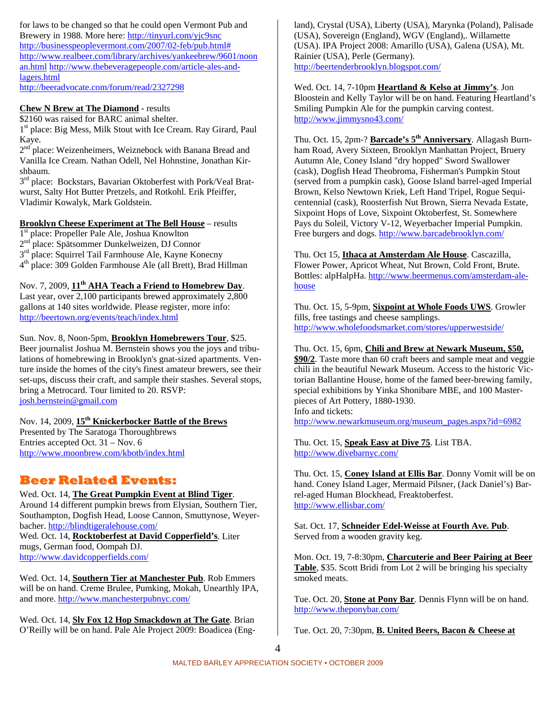for laws to be changed so that he could open Vermont Pub and Brewery in 1988. More here: http://tinyurl.com/yjc9snc http://businesspeoplevermont.com/2007/02-feb/pub.html# http://www.realbeer.com/library/archives/yankeebrew/9601/noon an.html http://www.thebeveragepeople.com/article-ales-andlagers.html http://beeradvocate.com/forum/read/2327298

#### **Chew N Brew at The Diamond** - results

\$2160 was raised for BARC animal shelter.

1<sup>st</sup> place: Big Mess, Milk Stout with Ice Cream. Ray Girard, Paul Kaye.

2<sup>nd</sup> place: Weizenheimers, Weiznebock with Banana Bread and Vanilla Ice Cream. Nathan Odell, Nel Hohnstine, Jonathan Kirshbaum.

3<sup>rd</sup> place: Bockstars, Bavarian Oktoberfest with Pork/Veal Bratwurst, Salty Hot Butter Pretzels, and Rotkohl. Erik Pfeiffer, Vladimir Kowalyk, Mark Goldstein.

#### **Brooklyn Cheese Experiment at The Bell House** – results

1<sup>st</sup> place: Propeller Pale Ale, Joshua Knowlton<br>2<sup>nd</sup> place: Spätsommer Dunkelweizen. DJ Conn

place: Spätsommer Dunkelweizen, DJ Connor

 $3<sup>rd</sup>$  place: Squirrel Tail Farmhouse Ale, Kayne Konecny

4th place: 309 Golden Farmhouse Ale (all Brett), Brad Hillman

Nov. 7, 2009, **11th AHA Teach a Friend to Homebrew Day**.

Last year, over 2,100 participants brewed approximately 2,800 gallons at 140 sites worldwide. Please register, more info: http://beertown.org/events/teach/index.html

#### Sun. Nov. 8, Noon-5pm, **Brooklyn Homebrewers Tour**, \$25.

Beer journalist Joshua M. Bernstein shows you the joys and tribulations of homebrewing in Brooklyn's gnat-sized apartments. Venture inside the homes of the city's finest amateur brewers, see their set-ups, discuss their craft, and sample their stashes. Several stops, bring a Metrocard. Tour limited to 20. RSVP: josh.bernstein@gmail.com

## Nov. 14, 2009, **15th Knickerbocker Battle of the Brews**

Presented by The Saratoga Thoroughbrews Entries accepted Oct. 31 – Nov. 6 http://www.moonbrew.com/kbotb/index.html

# **Beer Related Events:**

Wed. Oct. 14, **The Great Pumpkin Event at Blind Tiger**. Around 14 different pumpkin brews from Elysian, Southern Tier, Southampton, Dogfish Head, Loose Cannon, Smuttynose, Weyerbacher. http://blindtigeralehouse.com/ Wed. Oct. 14, **Rocktoberfest at David Copperfield's**. Liter mugs, German food, Oompah DJ.

http://www.davidcopperfields.com/

Wed. Oct. 14, **Southern Tier at Manchester Pub**. Rob Emmers will be on hand. Creme Brulee, Pumking, Mokah, Unearthly IPA, and more. http://www.manchesterpubnyc.com/

Wed. Oct. 14, **Sly Fox 12 Hop Smackdown at The Gate**. Brian O'Reilly will be on hand. Pale Ale Project 2009: Boadicea (Eng-

land), Crystal (USA), Liberty (USA), Marynka (Poland), Palisade (USA), Sovereign (England), WGV (England),. Willamette (USA). IPA Project 2008: Amarillo (USA), Galena (USA), Mt. Rainier (USA), Perle (Germany). http://beertenderbrooklyn.blogspot.com/

Wed. Oct. 14, 7-10pm **Heartland & Kelso at Jimmy's**. Jon Bloostein and Kelly Taylor will be on hand. Featuring Heartland's Smiling Pumpkin Ale for the pumpkin carving contest. http://www.jimmysno43.com/

Thu. Oct. 15, 2pm-? **Barcade's 5th Anniversary**. Allagash Burnham Road, Avery Sixteen, Brooklyn Manhattan Project, Bruery Autumn Ale, Coney Island "dry hopped" Sword Swallower (cask), Dogfish Head Theobroma, Fisherman's Pumpkin Stout (served from a pumpkin cask), Goose Island barrel-aged Imperial Brown, Kelso Newtown Kriek, Left Hand Tripel, Rogue Sequicentennial (cask), Roosterfish Nut Brown, Sierra Nevada Estate, Sixpoint Hops of Love, Sixpoint Oktoberfest, St. Somewhere Pays du Soleil, Victory V-12, Weyerbacher Imperial Pumpkin. Free burgers and dogs. http://www.barcadebrooklyn.com/

Thu. Oct 15, **Ithaca at Amsterdam Ale House**. Cascazilla, Flower Power, Apricot Wheat, Nut Brown, Cold Front, Brute. Bottles: alpHalpHa. http://www.beermenus.com/amsterdam-alehouse

Thu. Oct. 15, 5-9pm, **Sixpoint at Whole Foods UWS**. Growler fills, free tastings and cheese samplings. http://www.wholefoodsmarket.com/stores/upperwestside/

#### Thu. Oct. 15, 6pm, **Chili and Brew at Newark Museum, \$50,**

**\$90/2**. Taste more than 60 craft beers and sample meat and veggie chili in the beautiful Newark Museum. Access to the historic Victorian Ballantine House, home of the famed beer-brewing family, special exhibitions by Yinka Shonibare MBE, and 100 Masterpieces of Art Pottery, 1880-1930. Info and tickets:

http://www.newarkmuseum.org/museum\_pages.aspx?id=6982

Thu. Oct. 15, **Speak Easy at Dive 75**. List TBA. http://www.divebarnyc.com/

Thu. Oct. 15, **Coney Island at Ellis Bar**. Donny Vomit will be on hand. Coney Island Lager, Mermaid Pilsner, (Jack Daniel's) Barrel-aged Human Blockhead, Freaktoberfest. http://www.ellisbar.com/

Sat. Oct. 17, **Schneider Edel-Weisse at Fourth Ave. Pub**. Served from a wooden gravity keg.

Mon. Oct. 19, 7-8:30pm, **Charcuterie and Beer Pairing at Beer Table**, \$35. Scott Bridi from Lot 2 will be bringing his specialty smoked meats.

Tue. Oct. 20, **Stone at Pony Bar**. Dennis Flynn will be on hand. http://www.theponybar.com/

Tue. Oct. 20, 7:30pm, **B. United Beers, Bacon & Cheese at**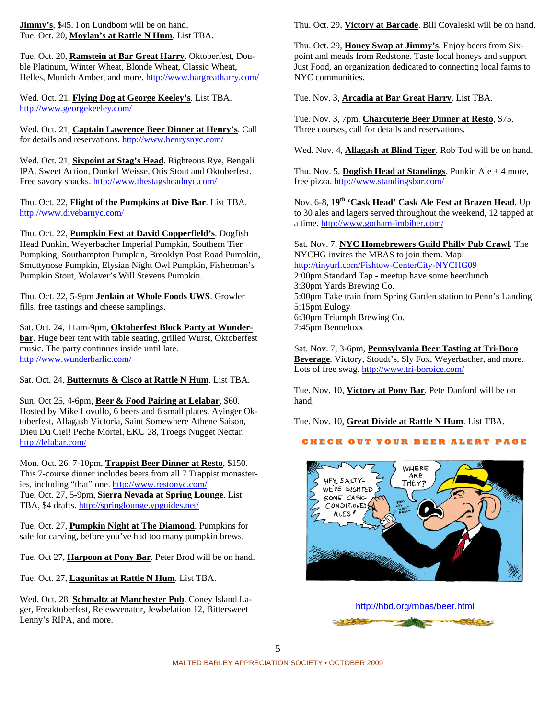**Jimmy's**, \$45. I on Lundbom will be on hand. Tue. Oct. 20, **Moylan's at Rattle N Hum**. List TBA.

Tue. Oct. 20, **Ramstein at Bar Great Harry**. Oktoberfest, Double Platinum, Winter Wheat, Blonde Wheat, Classic Wheat, Helles, Munich Amber, and more. http://www.bargreatharry.com/

Wed. Oct. 21, **Flying Dog at George Keeley's**. List TBA. http://www.georgekeeley.com/

Wed. Oct. 21, **Captain Lawrence Beer Dinner at Henry's**. Call for details and reservations. http://www.henrysnyc.com/

Wed. Oct. 21, **Sixpoint at Stag's Head**. Righteous Rye, Bengali IPA, Sweet Action, Dunkel Weisse, Otis Stout and Oktoberfest. Free savory snacks. http://www.thestagsheadnyc.com/

Thu. Oct. 22, **Flight of the Pumpkins at Dive Bar**. List TBA. http://www.divebarnyc.com/

Thu. Oct. 22, **Pumpkin Fest at David Copperfield's**. Dogfish Head Punkin, Weyerbacher Imperial Pumpkin, Southern Tier Pumpking, Southampton Pumpkin, Brooklyn Post Road Pumpkin, Smuttynose Pumpkin, Elysian Night Owl Pumpkin, Fisherman's Pumpkin Stout, Wolaver's Will Stevens Pumpkin.

Thu. Oct. 22, 5-9pm **Jenlain at Whole Foods UWS**. Growler fills, free tastings and cheese samplings.

Sat. Oct. 24, 11am-9pm, **Oktoberfest Block Party at Wunderbar**. Huge beer tent with table seating, grilled Wurst, Oktoberfest music. The party continues inside until late. http://www.wunderbarlic.com/

Sat. Oct. 24, **Butternuts & Cisco at Rattle N Hum**. List TBA.

Sun. Oct 25, 4-6pm, **Beer & Food Pairing at Lelabar**, \$60. Hosted by Mike Lovullo, 6 beers and 6 small plates. Ayinger Oktoberfest, Allagash Victoria, Saint Somewhere Athene Saison, Dieu Du Ciel! Peche Mortel, EKU 28, Troegs Nugget Nectar. http://lelabar.com/

Mon. Oct. 26, 7-10pm, **Trappist Beer Dinner at Resto**, \$150. This 7-course dinner includes beers from all 7 Trappist monasteries, including "that" one. http://www.restonyc.com/ Tue. Oct. 27, 5-9pm, **Sierra Nevada at Spring Lounge**. List TBA, \$4 drafts. http://springlounge.ypguides.net/

Tue. Oct. 27, **Pumpkin Night at The Diamond**. Pumpkins for sale for carving, before you've had too many pumpkin brews.

Tue. Oct 27, **Harpoon at Pony Bar**. Peter Brod will be on hand.

Tue. Oct. 27, **Lagunitas at Rattle N Hum**. List TBA.

Wed. Oct. 28, **Schmaltz at Manchester Pub**. Coney Island Lager, Freaktoberfest, Rejewvenator, Jewbelation 12, Bittersweet Lenny's RIPA, and more.

Thu. Oct. 29, **Victory at Barcade**. Bill Covaleski will be on hand.

Thu. Oct. 29, **Honey Swap at Jimmy's**. Enjoy beers from Sixpoint and meads from Redstone. Taste local honeys and support Just Food, an organization dedicated to connecting local farms to NYC communities.

Tue. Nov. 3, **Arcadia at Bar Great Harry**. List TBA.

Tue. Nov. 3, 7pm, **Charcuterie Beer Dinner at Resto**, \$75. Three courses, call for details and reservations.

Wed. Nov. 4, **Allagash at Blind Tiger**. Rob Tod will be on hand.

Thu. Nov. 5, **Dogfish Head at Standings**. Punkin Ale + 4 more, free pizza. http://www.standingsbar.com/

Nov. 6-8, **19th 'Cask Head' Cask Ale Fest at Brazen Head**. Up to 30 ales and lagers served throughout the weekend, 12 tapped at a time. http://www.gotham-imbiber.com/

Sat. Nov. 7, **NYC Homebrewers Guild Philly Pub Crawl**. The NYCHG invites the MBAS to join them. Map: http://tinyurl.com/Fishtow-CenterCity-NYCHG09 2:00pm Standard Tap - meetup have some beer/lunch 3:30pm Yards Brewing Co. 5:00pm Take train from Spring Garden station to Penn's Landing 5:15pm Eulogy 6:30pm Triumph Brewing Co. 7:45pm Benneluxx

Sat. Nov. 7, 3-6pm, **Pennsylvania Beer Tasting at Tri-Boro Beverage**. Victory, Stoudt's, Sly Fox, Weyerbacher, and more. Lots of free swag. http://www.tri-boroice.com/

Tue. Nov. 10, **Victory at Pony Bar**. Pete Danford will be on hand.

Tue. Nov. 10, **Great Divide at Rattle N Hum**. List TBA.

### **C H E C K O U T Y O U R B E E R A L E R T P A G E**



http://hbd.org/mbas/beer.html